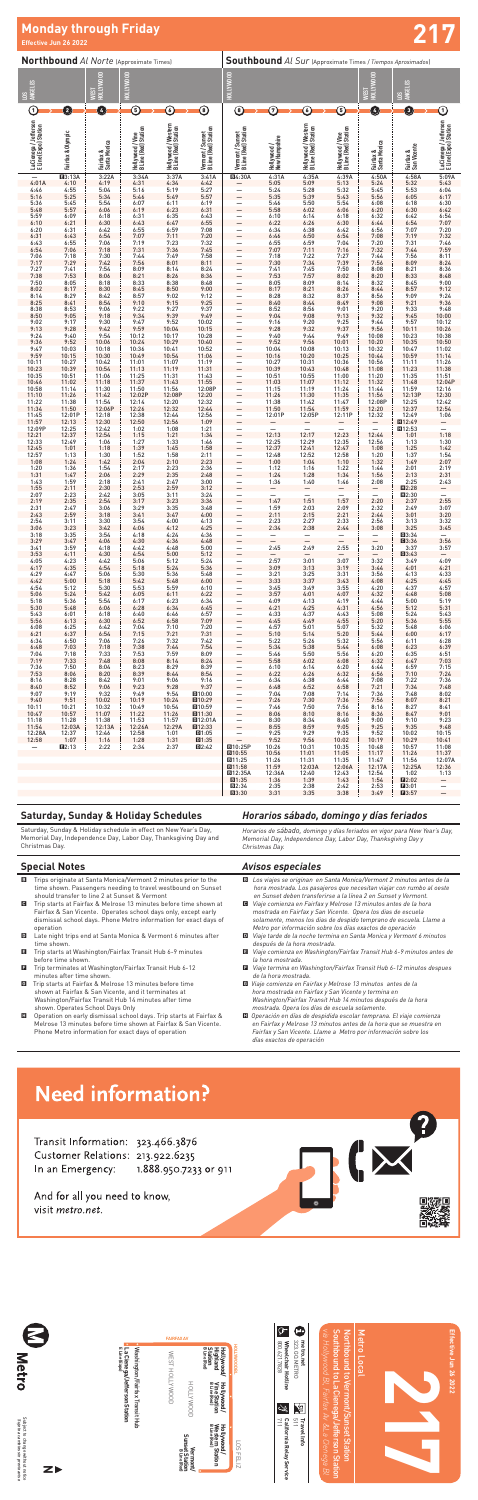|                                                                                    | $\bullet$                                                                      | <b>FAIRFAX AV</b>             |                                                                     | ক<br>œ                                                                                        | <b>N</b> B<br>Metro                                                                                                     |                       |
|------------------------------------------------------------------------------------|--------------------------------------------------------------------------------|-------------------------------|---------------------------------------------------------------------|-----------------------------------------------------------------------------------------------|-------------------------------------------------------------------------------------------------------------------------|-----------------------|
| Metro                                                                              |                                                                                | WEST                          | <b>Station</b><br>BLine (Red)<br>Hollywood/<br>Highland             | 323.GO.METRO<br>800.621.7828<br>Wheelchair Hotline<br>metro.net<br><b>HOLLYWOOD BL</b>        | <b>Northbound</b><br>Southbound to<br>Hollywood Bl,<br><u>leocal</u><br>ಕ                                               | Effective Jun 26 2022 |
|                                                                                    | Washington/Fairfax Transit Hub<br>La Cienega/Jefferson Station<br>ELine (Expo) | HOLLYWOOD                     | HOLLYWOOD<br>Hollywood/<br>Vine Station<br>B Line (Red)             | y.<br>إنت                                                                                     | ermont<br>a Cienega/                                                                                                    |                       |
| Subject to change without notice<br>Sujeto a <i>cambios sin previo aviso</i><br>ZI |                                                                                | Sunset Station<br>BLine (Red) | Hollywood/<br>Western Station<br><sup>BLine (Red)</sup><br>Vermont/ | 5T<br><b>California Relay</b><br>711<br>Trave<br>→<br>∸<br>릀<br>SÖ<br><b>FELIZ</b><br>Service | Fairfax Av & La Cienega<br><b>Sunset</b><br><b>Jeffers</b><br><b>Station</b><br>Š<br><b>Station</b><br>$\overline{\Xi}$ |                       |



## **Effective Jun 26 2022 Monday through Friday 217**

#### **Saturday, Sunday & Holiday Schedules**

Saturday, Sunday & Holiday schedule in effect on New Year's Day, Memorial Day, Independence Day, Labor Day, Thanksgiving Day and Christmas Day.

## *Horarios sábado, domingo y días feriados*

*Horarios de sábado, domingo y días feriados en vigor para New Year's Day, Memorial Day, Independence Day, Labor Day, Thanksgiving Day y Christmas Day.*

#### **Special Notes**

- B Trips originate at Santa Monica/Vermont 2 minutes prior to the time shown. Passengers needing to travel westbound on Sunset should transfer to line 2 at Sunset & Vermont
- C Trip starts at Fairfax & Melrose 13 minutes before time shown at Fairfax & San Vicente. Operates school days only, except early dismissal school days. Phone Metro information for exact days of operation
- D Late night trips end at Santa Monica & Vermont 6 minutes after time shown.
- E Trip starts at Washington/Fairfax Transit Hub 6-9 minutes before time shown.
- $\blacksquare$  Trip terminates at Washington/Fairfax Transit Hub 6-12 minutes after time shown.
- G Trip starts at Fairfax & Melrose 13 minutes before time shown at Fairfax & San Vicente, and it terminates at Washington/Fairfax Transit Hub 14 minutes after time shown. Operates School Days Only
- H Operation on early dismissal school days. Trip starts at Fairfax & Melrose 13 minutes before time shown at Fairfax & San Vicente. Phone Metro information for exact days of operation

#### *Avisos especiales*

- B *Los viajes se originan en Santa Monica/Vermont 2 minutos antes de la hora mostrada. Los pasajeros que necesitan viajar con rumbo al oeste en Sunset deben transferirse a la línea 2 en Sunset y Vermont.*
- C *Viaje comienza en Fairfax y Melrose 13 minutos antes de la hora mostrada en Fairfax y San Vicente. Opera los dias de escuela solamente, menos los dias de despido temprano de escuela. Llame a Metro por información sobre los días exactos de operación*
- D *Viaje tarde de la noche termina en Santa Monica y Vermont 6 minutos después de la hora mostrada.*
- E *Viaje comienza en Washington/Fairfax Transit Hub 6-9 minutos antes de la hora mostrada.*
- F *Viaje termina en Washington/Fairfax Transit Hub 6-12 minutos despues de la hora mostrada.*
- G *Viaje comienza en Fairfax y Melrose 13 minutos antes de la hora mostrada en Fairfax y San Vicente y termina en Washington/Fairfax Transit Hub 14 minutos después de la hora mostrada. Opera los días de escuela solamente.*
- H *Operación en días de despidida escolar temprana. El viaje comienza en Fairfax y Melrose 13 minutos antes de la hora que se muestra en Fairfax y San Vicente. Llame a Metro por información sobre los días exactos de operación*

TIX

# **Need information?**

Transit Information: 323.466.3876 Customer Relations: 213.922.6235 In an Emergency: 1.888.950.7233 or 911

And for all you need to know, visit metro.net.